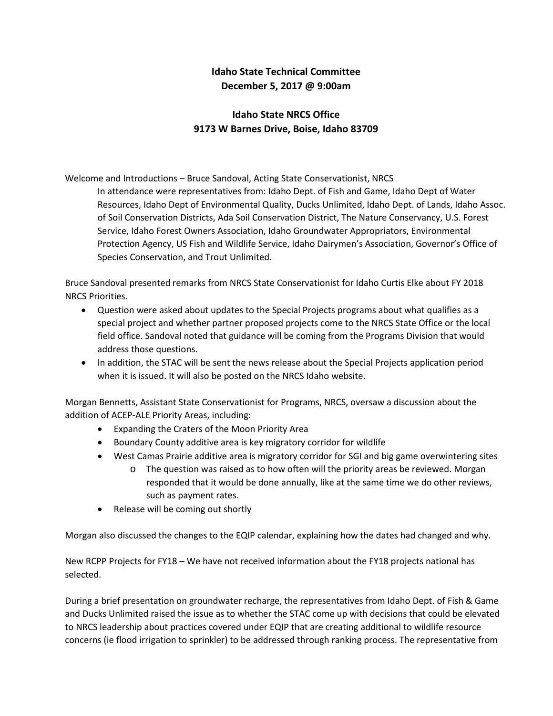## **Idaho State Technical Committee December 5, 2017 @ 9:00am**

## **Idaho State NRCS Office 9173 W Barnes Drive, Boise, Idaho 83709**

Welcome and Introductions – Bruce Sandoval, Acting State Conservationist, NRCS

In attendance were representatives from: Idaho Dept. of Fish and Game, Idaho Dept of Water Resources, Idaho Dept of Environmental Quality, Ducks Unlimited, Idaho Dept. of Lands, Idaho Assoc. of Soil Conservation Districts, Ada Soil Conservation District, The Nature Conservancy, U.S. Forest Service, Idaho Forest Owners Association, Idaho Groundwater Appropriators, Environmental Protection Agency, US Fish and Wildlife Service, Idaho Dairymen's Association, Governor's Office of Species Conservation, and Trout Unlimited.

Bruce Sandoval presented remarks from NRCS State Conservationist for Idaho Curtis Elke about FY 2018 NRCS Priorities.

- Question were asked about updates to the Special Projects programs about what qualifies as a special project and whether partner proposed projects come to the NRCS State Office or the local field office. Sandoval noted that guidance will be coming from the Programs Division that would address those questions.
- In addition, the STAC will be sent the news release about the Special Projects application period when it is issued. It will also be posted on the NRCS Idaho website.

Morgan Bennetts, Assistant State Conservationist for Programs, NRCS, oversaw a discussion about the addition of ACEP-ALE Priority Areas, including:

- Expanding the Craters of the Moon Priority Area
- Boundary County additive area is key migratory corridor for wildlife
- West Camas Prairie additive area is migratory corridor for SGI and big game overwintering sites
	- o The question was raised as to how often will the priority areas be reviewed. Morgan responded that it would be done annually, like at the same time we do other reviews, such as payment rates.
- Release will be coming out shortly

Morgan also discussed the changes to the EQIP calendar, explaining how the dates had changed and why.

New RCPP Projects for FY18 – We have not received information about the FY18 projects national has selected.

During a brief presentation on groundwater recharge, the representatives from Idaho Dept. of Fish & Game and Ducks Unlimited raised the issue as to whether the STAC come up with decisions that could be elevated to NRCS leadership about practices covered under EQIP that are creating additional to wildlife resource concerns (ie flood irrigation to sprinkler) to be addressed through ranking process. The representative from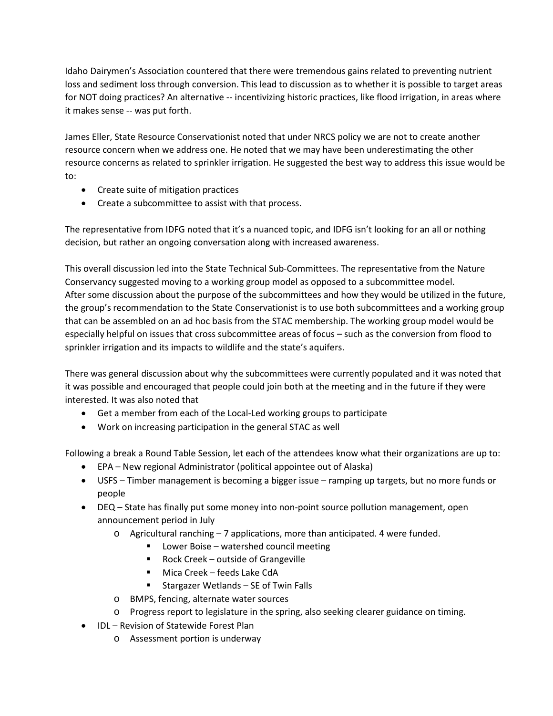Idaho Dairymen's Association countered that there were tremendous gains related to preventing nutrient loss and sediment loss through conversion. This lead to discussion as to whether it is possible to target areas for NOT doing practices? An alternative -- incentivizing historic practices, like flood irrigation, in areas where it makes sense -- was put forth.

James Eller, State Resource Conservationist noted that under NRCS policy we are not to create another resource concern when we address one. He noted that we may have been underestimating the other resource concerns as related to sprinkler irrigation. He suggested the best way to address this issue would be to:

- Create suite of mitigation practices
- Create a subcommittee to assist with that process.

The representative from IDFG noted that it's a nuanced topic, and IDFG isn't looking for an all or nothing decision, but rather an ongoing conversation along with increased awareness.

This overall discussion led into the State Technical Sub-Committees. The representative from the Nature Conservancy suggested moving to a working group model as opposed to a subcommittee model. After some discussion about the purpose of the subcommittees and how they would be utilized in the future, the group's recommendation to the State Conservationist is to use both subcommittees and a working group that can be assembled on an ad hoc basis from the STAC membership. The working group model would be especially helpful on issues that cross subcommittee areas of focus – such as the conversion from flood to sprinkler irrigation and its impacts to wildlife and the state's aquifers.

There was general discussion about why the subcommittees were currently populated and it was noted that it was possible and encouraged that people could join both at the meeting and in the future if they were interested. It was also noted that

- Get a member from each of the Local-Led working groups to participate
- Work on increasing participation in the general STAC as well

Following a break a Round Table Session, let each of the attendees know what their organizations are up to:

- EPA New regional Administrator (political appointee out of Alaska)
- USFS Timber management is becoming a bigger issue ramping up targets, but no more funds or people
- DEQ State has finally put some money into non-point source pollution management, open announcement period in July
	- o Agricultural ranching 7 applications, more than anticipated. 4 were funded.
		- Lower Boise watershed council meeting
		- Rock Creek outside of Grangeville
		- Mica Creek feeds Lake CdA
		- Stargazer Wetlands SE of Twin Falls
	- o BMPS, fencing, alternate water sources
	- o Progress report to legislature in the spring, also seeking clearer guidance on timing.
- IDL Revision of Statewide Forest Plan
	- o Assessment portion is underway